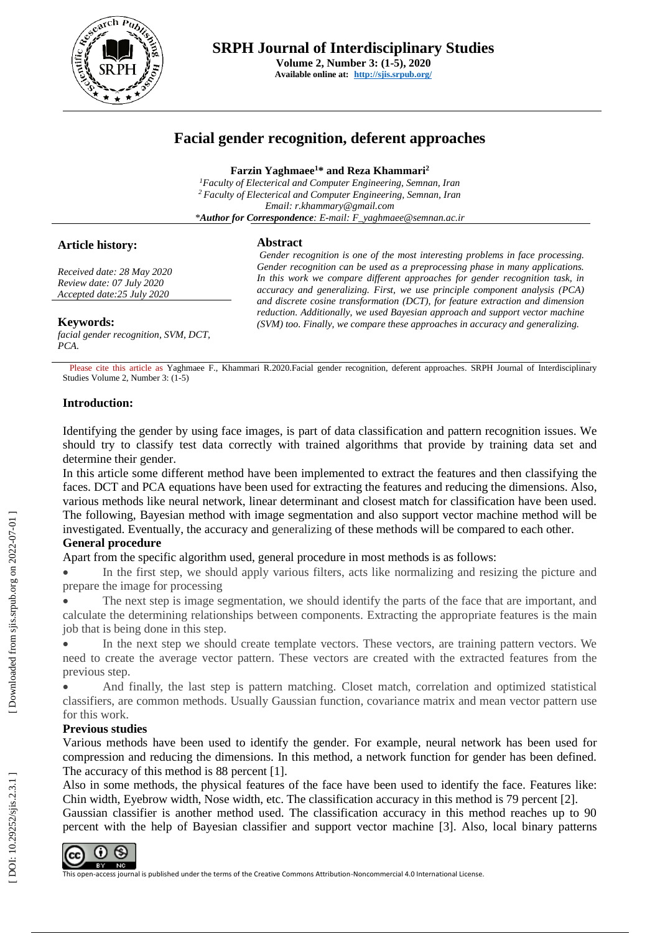

# **Facial gender recognition, deferent approaches**

**Farzin Yaghmaee <sup>1</sup>\* and Reza Khammari 2**

*<sup>1</sup>Faculty of Electerical and Computer Engineering, Semnan, Iran <sup>2</sup>Faculty of Electerical and Computer Engineering, Semnan, Iran Email: r.khammary@gmail.com \*Author for Correspondence: E -mail: F\_yaghmaee@semnan.ac.ir*

### **Article history:**

### **Abstract**

*Received date: 28 May 2020 Review date: 07 July 2020 Accepted date:25 July 2020*

*facial gender recognition, SVM, DCT, PCA .*

*Gender recognition is one of the most interesting problems in face processing. Gender recognition can be used as a preprocessing phase in many applications. In this work we compare different approaches for gender recognition task, in accuracy and generalizing. First, we use principle component analysis (PCA) and discrete cosine transformation (DCT), for feature extraction and dimension reduction. Additionally, we used Bayesian approach and support vector machine*  **Keywords:** *(SVM) too. Finally, we compare these approaches in accuracy and generalizing.*

Please cite this article as Yaghmaee F., Khammari R.2020.Facial gender recognition, deferent approaches. SRPH Journal of Interdisciplinary Studies Volume 2, Number 3: (1 - 5 )

## **Introduction:**

Identifying the gender by using face images, is part of data classification and pattern recognition issues. We should try to classify test data correctly with trained algorithms that provide by training data set and determine their gender.

In this article some different method have been implemented to extract the features and then classifying the faces. DCT and PCA equations have been used for extracting the features and reducing the dimensions. Also, various methods like neural network, linear determinant and closest match for classification have been used. The following, Bayesian method with image segmentation and also support vector machine method will be investigated. Eventually, the accuracy and generalizing of these methods will be compared to each other. **General procedure**

Apart from the specific algorithm used, general procedure in most methods is as follows:

• In the first step, we should apply various filters, acts like normalizing and resizing the picture and prepare the image for processing

• The next step is image segmentation, we should identify the parts of the face that are important, and calculate the determining relationships between components. Extracting the appropriate features is the main job that is being done in this step.

In the next step we should create template vectors. These vectors, are training pattern vectors. We need to create the average vector pattern. These vectors are created with the extracted features from the previous step.

• And finally, the last step is pattern matching. Closet match, correlation and optimized statistical classifiers, are common methods . Usually Gaussian function, covariance matrix and mean vector pattern use for this work.

## **Previous studies**

Various methods have been used to identify the gender. For example, neural network has been used for compression and reducing the dimensions. In this method, a network function for gender has been defined. The accuracy of this method is 88 percent [1] .

Also in some methods, the physical features of the face have been used to identify the face. Features like: Chin width, Eyebrow width, Nose width, etc. The classification accuracy in this method is 79 percent [2] .

Gaussian classifier is another method used. The classification accuracy in this method reaches up to 90 percent with the help of Bayesian classifier and support vector machine [3]. Also, local binary patterns



DOI: 10.29252/sjis.2.3.1]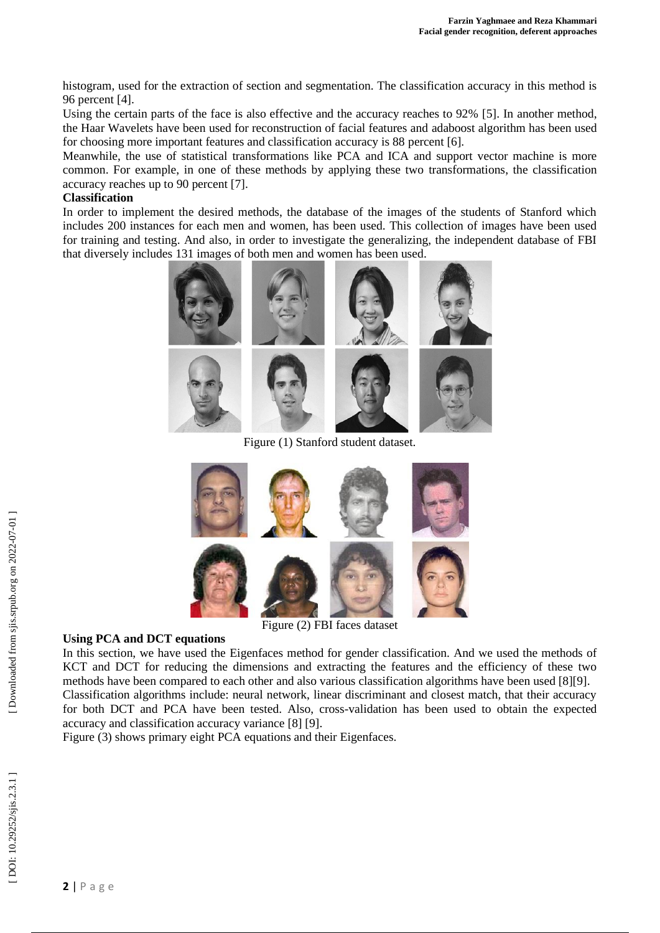histogram, used for the extraction of section and segmentation. The classification accuracy in this method is 96 percent [4] .

Using the certain parts of the face is also effective and the accuracy reaches to 92% [5] . In another method, the Haar Wavelets have been used for reconstruction of facial features and adaboost algorithm has been used for choosing more important features and classification accuracy is 88 percent [6] .

Meanwhile, the use of statistical transformations like PCA and ICA and support vector machine is more common. For example, in one of these methods by applying these two transformations, the classification accuracy reaches up to 90 percent [7] .

#### **Classification**

In order to implement the desired methods, the database of the images of the students of Stanford which includes 200 instances for each men and women, has been used. This collection of images have been used for training and testing. And also, in order to investigate the generalizing, the independent database of FBI that diversely includes 131 images of both men and women has been used.



Figure (1) Stanford student dataset.



Figure (2) FBI faces dataset

## **Using PCA and DCT equations**

In this section, we have used the Eigenfaces method for gender classification. And we used the methods of KCT and DCT for reducing the dimensions and extracting the features and the efficiency of these two methods have been compared to each other and also various classification algorithms have been used [8][9]. Classification algorithms include: neural network, linear discriminant and closest match, that their accuracy for both DCT and PCA have been tested. Also, cross -validation has been used to obtain the expected accuracy and classification accuracy variance [8] [9] .

Figure (3) shows primary eight PCA equations and their Eigenfaces.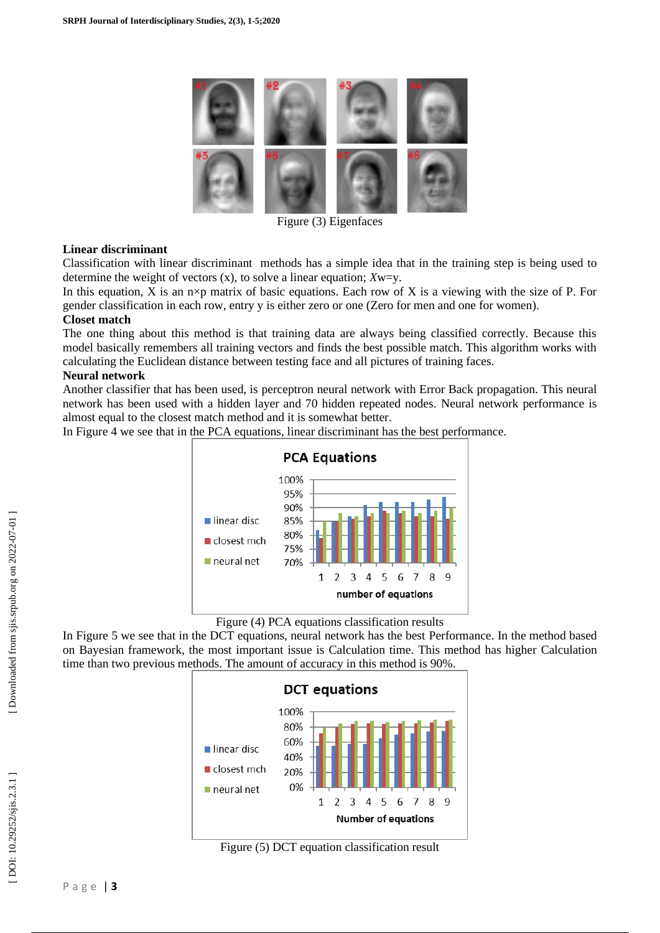

Figure (3) Eigenfaces

## **Linear discriminant**

Classification with linear discriminant methods has a simple idea that in the training step is being used to determine the weight of vectors (x), to solve a linear equation; *X*w=y.

In this equation, X is an  $n \times p$  matrix of basic equations. Each row of X is a viewing with the size of P. For gender classification in each row, entry y is either zero or one (Zero for men and one for women).

### **Closet match**

The one thing about this method is that training data are always being classified correctly. Because this model basically remembers all training vectors and finds the best possible match. This algorithm works with calculating the Euclidean distance between testing face and all pictures of training faces.

## **Neural network**

Another classifier that has been used, is perceptron neural network with Error Back propagation. This neural network has been used with a hidden layer and 70 hidden repeated nodes. Neural network performance is almost equal to the closest match method and it is somewhat better .

In Figure 4 we see that in the PCA equations, linear discriminant has the best performance.



Figure (4) PCA equations classification results

In Figure 5 we see that in the DCT equations, neural network has the best Performance. In the method based on Bayesian framework, the most important issue is Calculation time. This method has higher Calculation time than two previous methods. The amount of accuracy in this method is 90%.



Figure (5) DCT equation classification result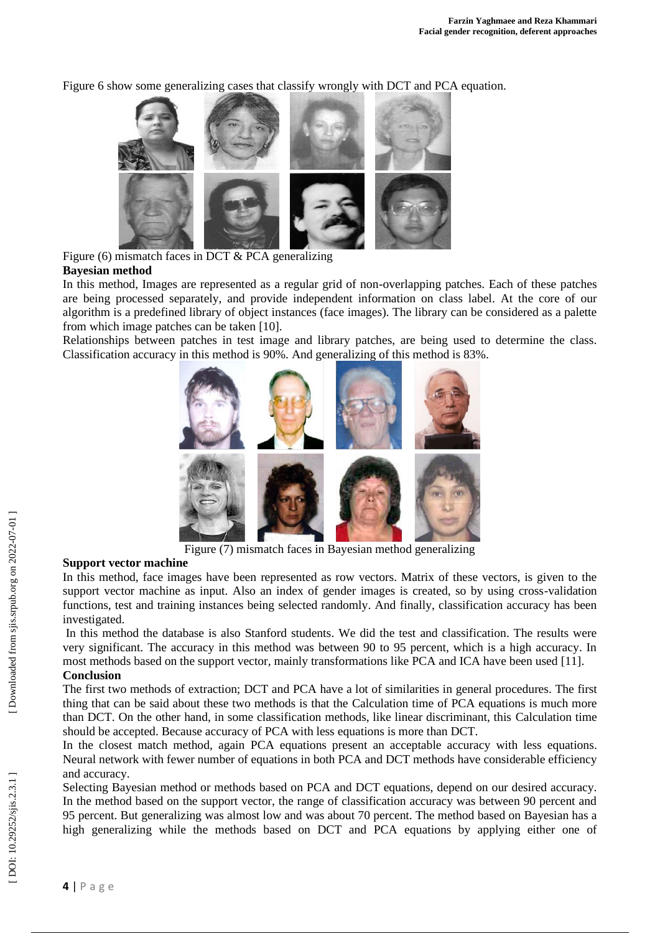Figure 6 show some generalizing cases that classify wrongly with DCT and PCA equation.



Figure (6) mismatch faces in DCT & PCA generalizing **Bayesian method** 

In this method, Images are represented as a regular grid of non -overlapping patches. Each of these patches are being processed separately, and provide independent information on class label. At the core of our algorithm is a predefined library of object instances (face images). The library can be considered as a palette from which image patches can be taken [10] .

Relationships between patches in test image and library patches, are being used to determine the class. Classification accuracy in this method is 90%. And generalizing of this method is 83%.



Figure (7) mismatch faces in Bayesian method generalizing

## **Support vector machine**

In this method, face images have been represented as row vectors. Matrix of these vectors, is given to the support vector machine as input. Also an index of gender images is created, so by using cross-validation functions, test and training instances being selected randomly. And finally, classification accuracy has been investigated.

In this method the database is also Stanford students . We did the test and classification. The results were very significant. The accuracy in this method was between 90 to 95 percent, which is a high accuracy. In most methods based on the support vector, mainly transformations like PCA and ICA have been used [11] . **Conclusion**

The first two methods of extraction; DCT and PCA have a lot of similarities in general procedure s. The first thing that can be said about these two methods is that the Calculation time of PCA equations is much more than DCT. On the other hand, in some classification methods, like linear discriminant, this Calculation time should be accepted. Because accuracy of PCA with less equations is more than DCT.

In the closest match method, again PCA equations present an acceptable accuracy with less equations. Neural network with fewer number of equations in both PCA and DCT methods have considerable efficiency and accuracy.

Selecting Bayesian method or methods based on PCA and DCT equations, depend on our desired accuracy. In the method based on the support vector, the range of classification accuracy was between 90 percent and 95 percent. But generalizing was almost low and was about 70 percent. The method based on Bayesian has a high generalizing while the methods based on DCT and PCA equations by applying either one of